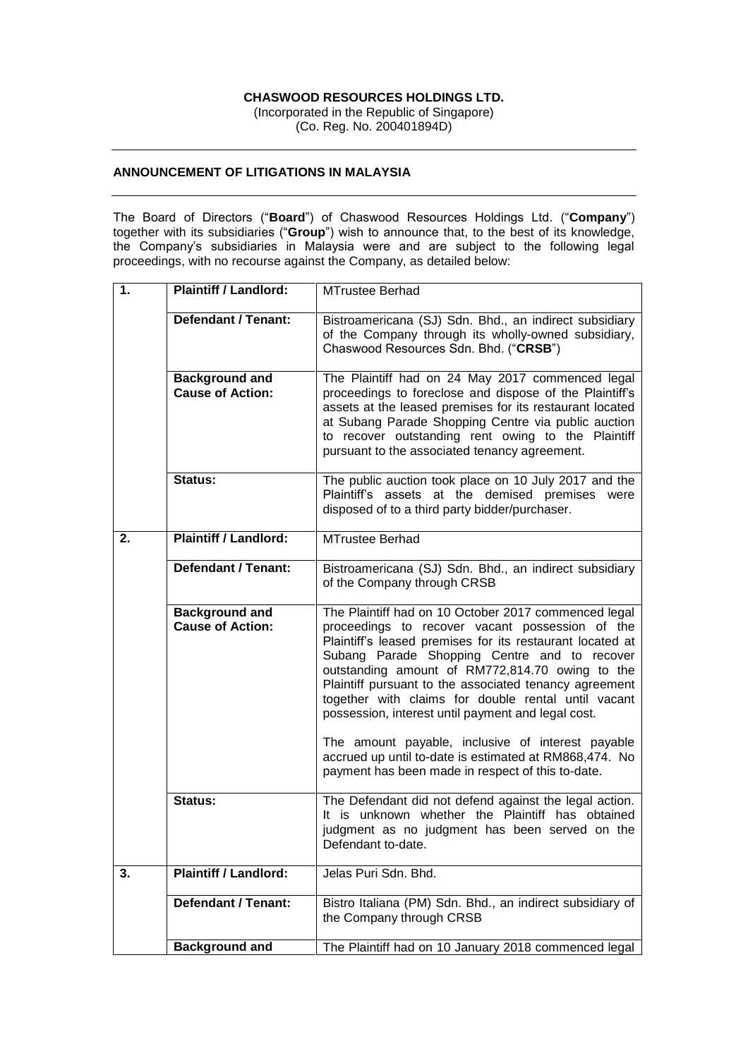## **CHASWOOD RESOURCES HOLDINGS LTD.**

(Incorporated in the Republic of Singapore) (Co. Reg. No. 200401894D)

## **ANNOUNCEMENT OF LITIGATIONS IN MALAYSIA**

The Board of Directors ("**Board**") of Chaswood Resources Holdings Ltd. ("**Company**") together with its subsidiaries ("**Group**") wish to announce that, to the best of its knowledge, the Company's subsidiaries in Malaysia were and are subject to the following legal proceedings, with no recourse against the Company, as detailed below:

| 1. | <b>Plaintiff / Landlord:</b>                     | <b>MTrustee Berhad</b>                                                                                                                                                                                                                                                                                                                                                                                                                         |
|----|--------------------------------------------------|------------------------------------------------------------------------------------------------------------------------------------------------------------------------------------------------------------------------------------------------------------------------------------------------------------------------------------------------------------------------------------------------------------------------------------------------|
|    | <b>Defendant / Tenant:</b>                       | Bistroamericana (SJ) Sdn. Bhd., an indirect subsidiary<br>of the Company through its wholly-owned subsidiary,<br>Chaswood Resources Sdn. Bhd. ("CRSB")                                                                                                                                                                                                                                                                                         |
|    | <b>Background and</b><br><b>Cause of Action:</b> | The Plaintiff had on 24 May 2017 commenced legal<br>proceedings to foreclose and dispose of the Plaintiff's<br>assets at the leased premises for its restaurant located<br>at Subang Parade Shopping Centre via public auction<br>to recover outstanding rent owing to the Plaintiff<br>pursuant to the associated tenancy agreement.                                                                                                          |
|    | <b>Status:</b>                                   | The public auction took place on 10 July 2017 and the<br>Plaintiff's assets at the demised premises were<br>disposed of to a third party bidder/purchaser.                                                                                                                                                                                                                                                                                     |
| 2. | <b>Plaintiff / Landlord:</b>                     | <b>MTrustee Berhad</b>                                                                                                                                                                                                                                                                                                                                                                                                                         |
|    | <b>Defendant / Tenant:</b>                       | Bistroamericana (SJ) Sdn. Bhd., an indirect subsidiary<br>of the Company through CRSB                                                                                                                                                                                                                                                                                                                                                          |
|    | <b>Background and</b><br><b>Cause of Action:</b> | The Plaintiff had on 10 October 2017 commenced legal<br>proceedings to recover vacant possession of the<br>Plaintiff's leased premises for its restaurant located at<br>Subang Parade Shopping Centre and to recover<br>outstanding amount of RM772,814.70 owing to the<br>Plaintiff pursuant to the associated tenancy agreement<br>together with claims for double rental until vacant<br>possession, interest until payment and legal cost. |
|    |                                                  | The amount payable, inclusive of interest payable<br>accrued up until to-date is estimated at RM868,474. No<br>payment has been made in respect of this to-date.                                                                                                                                                                                                                                                                               |
|    | Status:                                          | The Defendant did not defend against the legal action.<br>It is unknown whether the Plaintiff has obtained<br>judgment as no judgment has been served on the<br>Defendant to-date.                                                                                                                                                                                                                                                             |
| 3. | <b>Plaintiff / Landlord:</b>                     | Jelas Puri Sdn. Bhd.                                                                                                                                                                                                                                                                                                                                                                                                                           |
|    | <b>Defendant / Tenant:</b>                       | Bistro Italiana (PM) Sdn. Bhd., an indirect subsidiary of<br>the Company through CRSB                                                                                                                                                                                                                                                                                                                                                          |
|    | <b>Background and</b>                            | The Plaintiff had on 10 January 2018 commenced legal                                                                                                                                                                                                                                                                                                                                                                                           |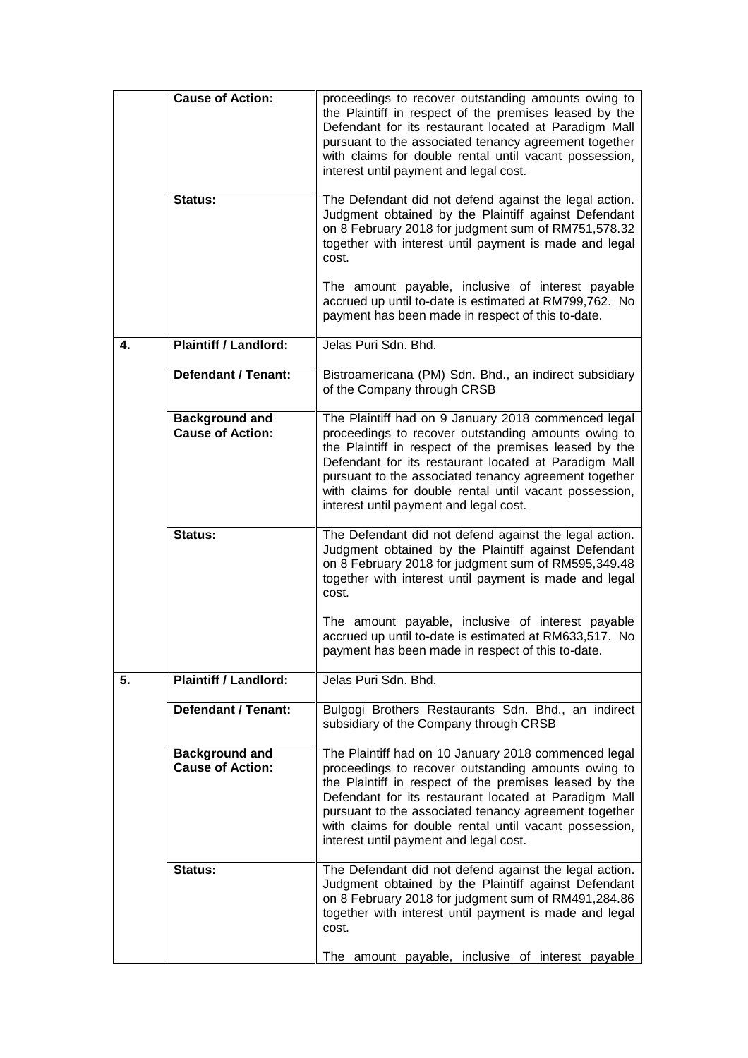|    | <b>Cause of Action:</b>                          | proceedings to recover outstanding amounts owing to<br>the Plaintiff in respect of the premises leased by the<br>Defendant for its restaurant located at Paradigm Mall<br>pursuant to the associated tenancy agreement together<br>with claims for double rental until vacant possession,<br>interest until payment and legal cost.                                                         |
|----|--------------------------------------------------|---------------------------------------------------------------------------------------------------------------------------------------------------------------------------------------------------------------------------------------------------------------------------------------------------------------------------------------------------------------------------------------------|
|    | Status:                                          | The Defendant did not defend against the legal action.<br>Judgment obtained by the Plaintiff against Defendant<br>on 8 February 2018 for judgment sum of RM751,578.32<br>together with interest until payment is made and legal<br>cost.                                                                                                                                                    |
|    |                                                  | The amount payable, inclusive of interest payable<br>accrued up until to-date is estimated at RM799,762. No<br>payment has been made in respect of this to-date.                                                                                                                                                                                                                            |
| 4. | <b>Plaintiff / Landlord:</b>                     | Jelas Puri Sdn. Bhd.                                                                                                                                                                                                                                                                                                                                                                        |
|    | <b>Defendant / Tenant:</b>                       | Bistroamericana (PM) Sdn. Bhd., an indirect subsidiary<br>of the Company through CRSB                                                                                                                                                                                                                                                                                                       |
|    | <b>Background and</b><br><b>Cause of Action:</b> | The Plaintiff had on 9 January 2018 commenced legal<br>proceedings to recover outstanding amounts owing to<br>the Plaintiff in respect of the premises leased by the<br>Defendant for its restaurant located at Paradigm Mall<br>pursuant to the associated tenancy agreement together<br>with claims for double rental until vacant possession,<br>interest until payment and legal cost.  |
|    | Status:                                          | The Defendant did not defend against the legal action.<br>Judgment obtained by the Plaintiff against Defendant<br>on 8 February 2018 for judgment sum of RM595,349.48<br>together with interest until payment is made and legal<br>cost.                                                                                                                                                    |
|    |                                                  | The amount payable, inclusive of interest payable<br>accrued up until to-date is estimated at RM633,517. No<br>payment has been made in respect of this to-date                                                                                                                                                                                                                             |
| 5. | <b>Plaintiff / Landlord:</b>                     | Jelas Puri Sdn. Bhd.                                                                                                                                                                                                                                                                                                                                                                        |
|    | <b>Defendant / Tenant:</b>                       | Bulgogi Brothers Restaurants Sdn. Bhd., an indirect<br>subsidiary of the Company through CRSB                                                                                                                                                                                                                                                                                               |
|    | <b>Background and</b><br><b>Cause of Action:</b> | The Plaintiff had on 10 January 2018 commenced legal<br>proceedings to recover outstanding amounts owing to<br>the Plaintiff in respect of the premises leased by the<br>Defendant for its restaurant located at Paradigm Mall<br>pursuant to the associated tenancy agreement together<br>with claims for double rental until vacant possession,<br>interest until payment and legal cost. |
|    | Status:                                          | The Defendant did not defend against the legal action.<br>Judgment obtained by the Plaintiff against Defendant<br>on 8 February 2018 for judgment sum of RM491,284.86<br>together with interest until payment is made and legal<br>cost.<br>The amount payable, inclusive of interest payable                                                                                               |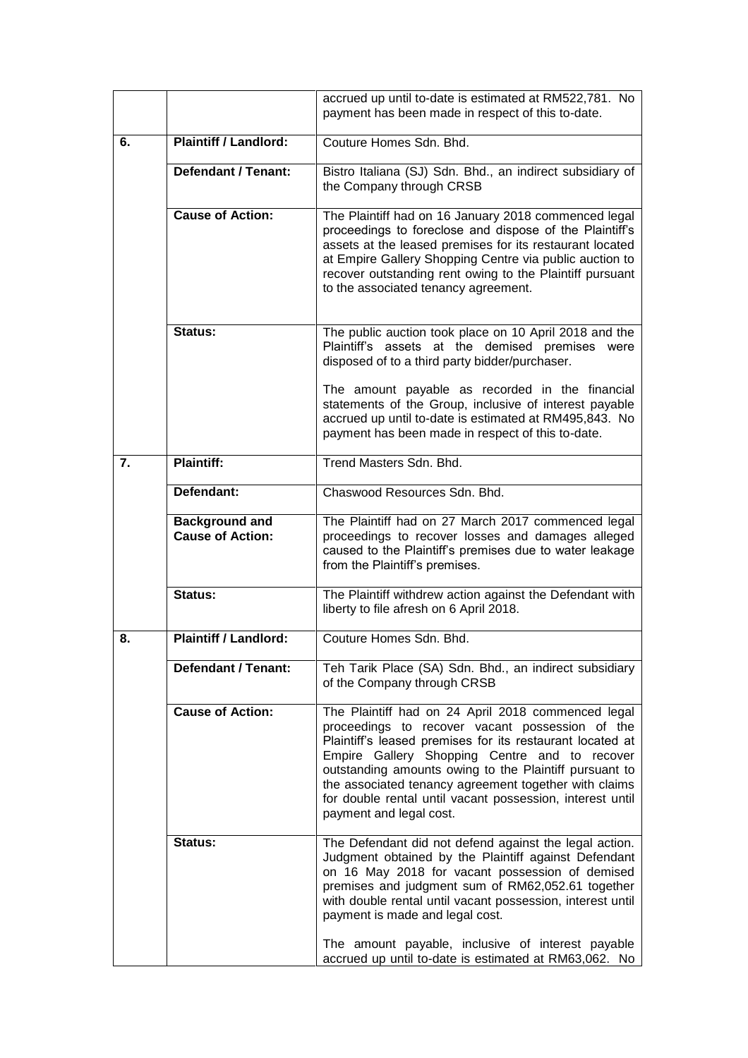|    |                                                  | accrued up until to-date is estimated at RM522,781. No<br>payment has been made in respect of this to-date.                                                                                                                                                                                                                                                                                                                    |
|----|--------------------------------------------------|--------------------------------------------------------------------------------------------------------------------------------------------------------------------------------------------------------------------------------------------------------------------------------------------------------------------------------------------------------------------------------------------------------------------------------|
| 6. | <b>Plaintiff / Landlord:</b>                     | Couture Homes Sdn, Bhd.                                                                                                                                                                                                                                                                                                                                                                                                        |
|    | <b>Defendant / Tenant:</b>                       | Bistro Italiana (SJ) Sdn. Bhd., an indirect subsidiary of<br>the Company through CRSB                                                                                                                                                                                                                                                                                                                                          |
|    | <b>Cause of Action:</b>                          | The Plaintiff had on 16 January 2018 commenced legal<br>proceedings to foreclose and dispose of the Plaintiff's<br>assets at the leased premises for its restaurant located<br>at Empire Gallery Shopping Centre via public auction to<br>recover outstanding rent owing to the Plaintiff pursuant<br>to the associated tenancy agreement.                                                                                     |
|    | Status:                                          | The public auction took place on 10 April 2018 and the<br>Plaintiff's assets at the demised premises were<br>disposed of to a third party bidder/purchaser.                                                                                                                                                                                                                                                                    |
|    |                                                  | The amount payable as recorded in the financial<br>statements of the Group, inclusive of interest payable<br>accrued up until to-date is estimated at RM495,843. No<br>payment has been made in respect of this to-date.                                                                                                                                                                                                       |
| 7. | <b>Plaintiff:</b>                                | Trend Masters Sdn. Bhd.                                                                                                                                                                                                                                                                                                                                                                                                        |
|    | Defendant:                                       | Chaswood Resources Sdn. Bhd.                                                                                                                                                                                                                                                                                                                                                                                                   |
|    | <b>Background and</b><br><b>Cause of Action:</b> | The Plaintiff had on 27 March 2017 commenced legal<br>proceedings to recover losses and damages alleged<br>caused to the Plaintiff's premises due to water leakage<br>from the Plaintiff's premises.                                                                                                                                                                                                                           |
|    | <b>Status:</b>                                   | The Plaintiff withdrew action against the Defendant with<br>liberty to file afresh on 6 April 2018.                                                                                                                                                                                                                                                                                                                            |
| 8. | <b>Plaintiff / Landlord:</b>                     | Couture Homes Sdn. Bhd.                                                                                                                                                                                                                                                                                                                                                                                                        |
|    | <b>Defendant / Tenant:</b>                       | Teh Tarik Place (SA) Sdn. Bhd., an indirect subsidiary<br>of the Company through CRSB                                                                                                                                                                                                                                                                                                                                          |
|    | <b>Cause of Action:</b>                          | The Plaintiff had on 24 April 2018 commenced legal<br>proceedings to recover vacant possession of the<br>Plaintiff's leased premises for its restaurant located at<br>Empire Gallery Shopping Centre and to recover<br>outstanding amounts owing to the Plaintiff pursuant to<br>the associated tenancy agreement together with claims<br>for double rental until vacant possession, interest until<br>payment and legal cost. |
|    | Status:                                          | The Defendant did not defend against the legal action.<br>Judgment obtained by the Plaintiff against Defendant<br>on 16 May 2018 for vacant possession of demised<br>premises and judgment sum of RM62,052.61 together<br>with double rental until vacant possession, interest until<br>payment is made and legal cost.<br>The amount payable, inclusive of interest payable                                                   |
|    |                                                  | accrued up until to-date is estimated at RM63,062. No                                                                                                                                                                                                                                                                                                                                                                          |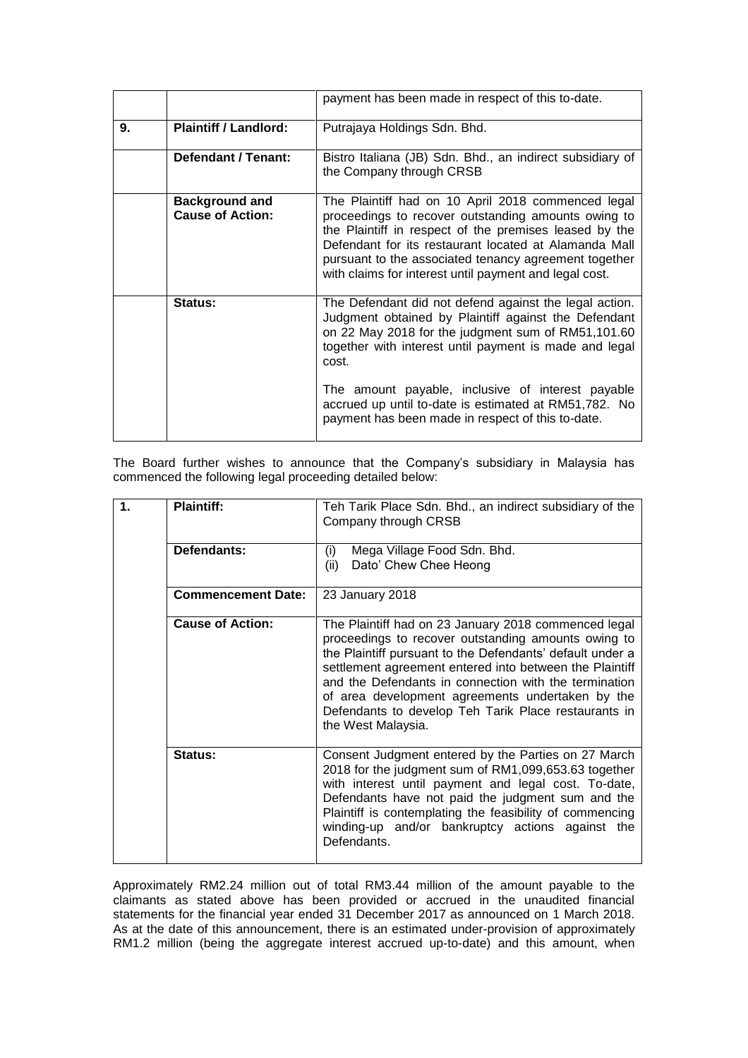|    |                                                  | payment has been made in respect of this to-date.                                                                                                                                                                                                                                                                                               |
|----|--------------------------------------------------|-------------------------------------------------------------------------------------------------------------------------------------------------------------------------------------------------------------------------------------------------------------------------------------------------------------------------------------------------|
| 9. | <b>Plaintiff / Landlord:</b>                     | Putrajaya Holdings Sdn. Bhd.                                                                                                                                                                                                                                                                                                                    |
|    | <b>Defendant / Tenant:</b>                       | Bistro Italiana (JB) Sdn. Bhd., an indirect subsidiary of<br>the Company through CRSB                                                                                                                                                                                                                                                           |
|    | <b>Background and</b><br><b>Cause of Action:</b> | The Plaintiff had on 10 April 2018 commenced legal<br>proceedings to recover outstanding amounts owing to<br>the Plaintiff in respect of the premises leased by the<br>Defendant for its restaurant located at Alamanda Mall<br>pursuant to the associated tenancy agreement together<br>with claims for interest until payment and legal cost. |
|    | Status:                                          | The Defendant did not defend against the legal action.<br>Judgment obtained by Plaintiff against the Defendant<br>on 22 May 2018 for the judgment sum of RM51,101.60<br>together with interest until payment is made and legal<br>cost.                                                                                                         |
|    |                                                  | The amount payable, inclusive of interest payable<br>accrued up until to-date is estimated at RM51,782. No<br>payment has been made in respect of this to-date.                                                                                                                                                                                 |

The Board further wishes to announce that the Company's subsidiary in Malaysia has commenced the following legal proceeding detailed below:

| $\mathbf 1$ | <b>Plaintiff:</b>         | Teh Tarik Place Sdn. Bhd., an indirect subsidiary of the<br>Company through CRSB                                                                                                                                                                                                                                                                                                                                               |
|-------------|---------------------------|--------------------------------------------------------------------------------------------------------------------------------------------------------------------------------------------------------------------------------------------------------------------------------------------------------------------------------------------------------------------------------------------------------------------------------|
|             | Defendants:               | Mega Village Food Sdn. Bhd.<br>(i)<br>Dato' Chew Chee Heong<br>(ii)                                                                                                                                                                                                                                                                                                                                                            |
|             | <b>Commencement Date:</b> | 23 January 2018                                                                                                                                                                                                                                                                                                                                                                                                                |
|             | <b>Cause of Action:</b>   | The Plaintiff had on 23 January 2018 commenced legal<br>proceedings to recover outstanding amounts owing to<br>the Plaintiff pursuant to the Defendants' default under a<br>settlement agreement entered into between the Plaintiff<br>and the Defendants in connection with the termination<br>of area development agreements undertaken by the<br>Defendants to develop Teh Tarik Place restaurants in<br>the West Malaysia. |
|             | <b>Status:</b>            | Consent Judgment entered by the Parties on 27 March<br>2018 for the judgment sum of RM1,099,653.63 together<br>with interest until payment and legal cost. To-date,<br>Defendants have not paid the judgment sum and the<br>Plaintiff is contemplating the feasibility of commencing<br>winding-up and/or bankruptcy actions against the<br>Defendants.                                                                        |

Approximately RM2.24 million out of total RM3.44 million of the amount payable to the claimants as stated above has been provided or accrued in the unaudited financial statements for the financial year ended 31 December 2017 as announced on 1 March 2018. As at the date of this announcement, there is an estimated under-provision of approximately RM1.2 million (being the aggregate interest accrued up-to-date) and this amount, when